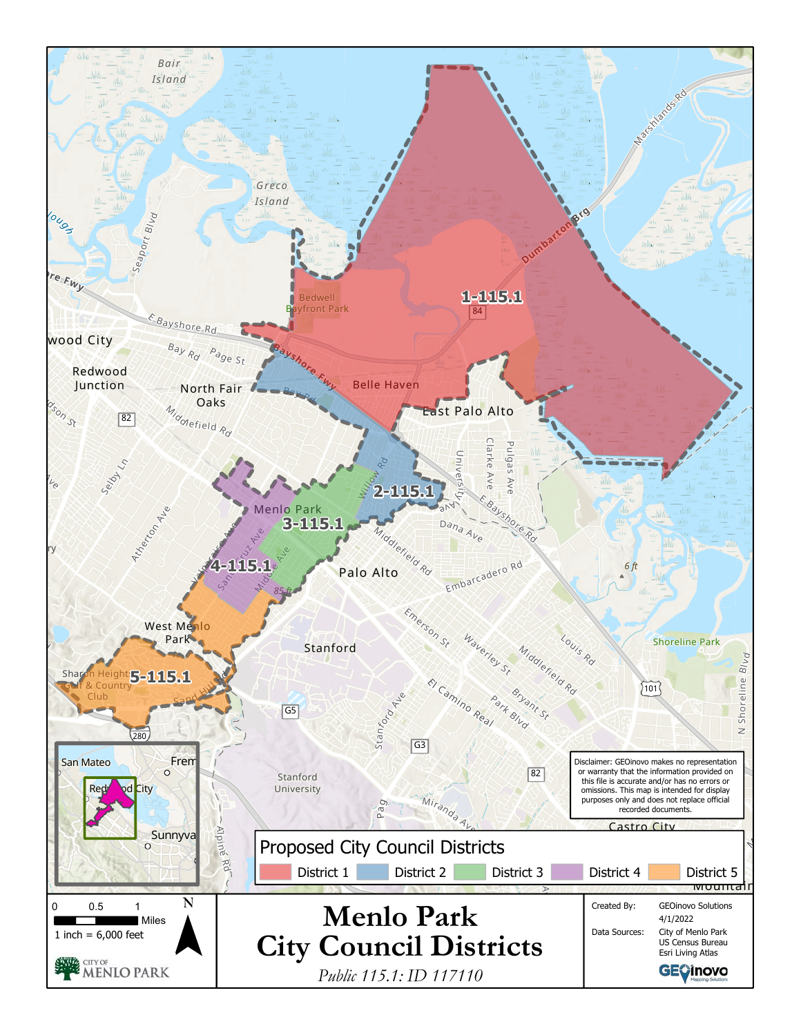